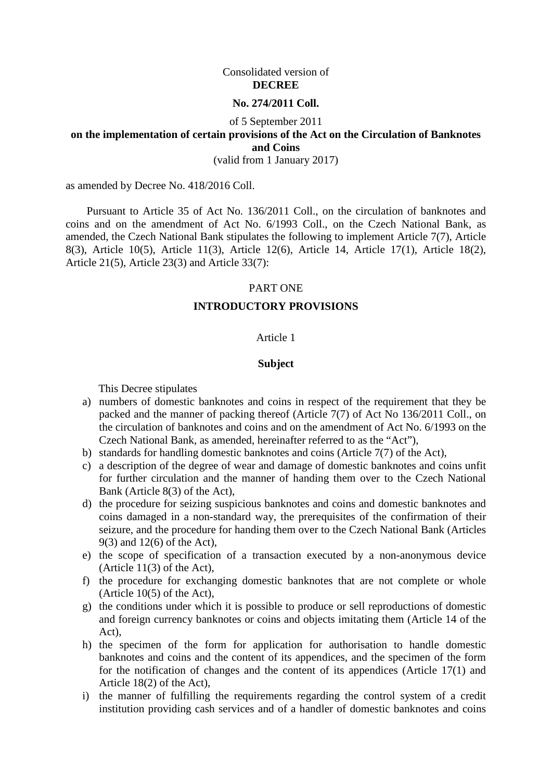#### Consolidated version of **DECREE**

#### **No. 274/2011 Coll.**

#### of 5 September 2011

## **on the implementation of certain provisions of the Act on the Circulation of Banknotes and Coins**

(valid from 1 January 2017)

as amended by Decree No. 418/2016 Coll.

Pursuant to Article 35 of Act No. 136/2011 Coll., on the circulation of banknotes and coins and on the amendment of Act No. 6/1993 Coll., on the Czech National Bank, as amended, the Czech National Bank stipulates the following to implement [Article 7\(7\),](aspi://module=) [Article](aspi://module=) [8\(3\),](aspi://module=) [Article](aspi://module=) 10(5), [Article 11\(3\),](aspi://module=) [Article](aspi://module=) 12(6), [Article 14, Article 17\(1\),](aspi://module=) [Article](aspi://module=) 18(2), [Article](aspi://module=) 21(5), [Article 23\(3\) a](aspi://module=)nd [Article 33\(7\):](aspi://module=)

#### PART ONE

#### **INTRODUCTORY PROVISIONS**

#### Article 1

#### **Subject**

This Decree stipulates

- a) numbers of domestic banknotes and coins in respect of the requirement that they be packed and the manner of packing thereof (Article 7(7) of Act No 136/2011 Coll., on the circulation of banknotes and coins and on the amendment of Act No. 6/1993 on the Czech National Bank, as amended, hereinafter referred to as the "Act"),
- b) standards for handling domestic banknotes and coins (Article 7(7) of the Act),
- c) a description of the degree of wear and damage of domestic banknotes and coins unfit for further circulation and the manner of handing them over to the Czech National Bank (Article 8(3) of the Act),
- d) the procedure for seizing suspicious banknotes and coins and domestic banknotes and coins damaged in a non-standard way, the prerequisites of the confirmation of their seizure, and the procedure for handing them over to the Czech National Bank (Articles 9(3) and 12(6) of the Act),
- e) the scope of specification of a transaction executed by a non-anonymous device (Article 11(3) of the Act),
- f) the procedure for exchanging domestic banknotes that are not complete or whole (Article 10(5) of the Act),
- g) the conditions under which it is possible to produce or sell reproductions of domestic and foreign currency banknotes or coins and objects imitating them (Article 14 of the Act),
- h) the specimen of the form for application for authorisation to handle domestic banknotes and coins and the content of its appendices, and the specimen of the form for the notification of changes and the content of its appendices (Article 17(1) and Article 18(2) of the Act),
- i) the manner of fulfilling the requirements regarding the control system of a credit institution providing cash services and of a handler of domestic banknotes and coins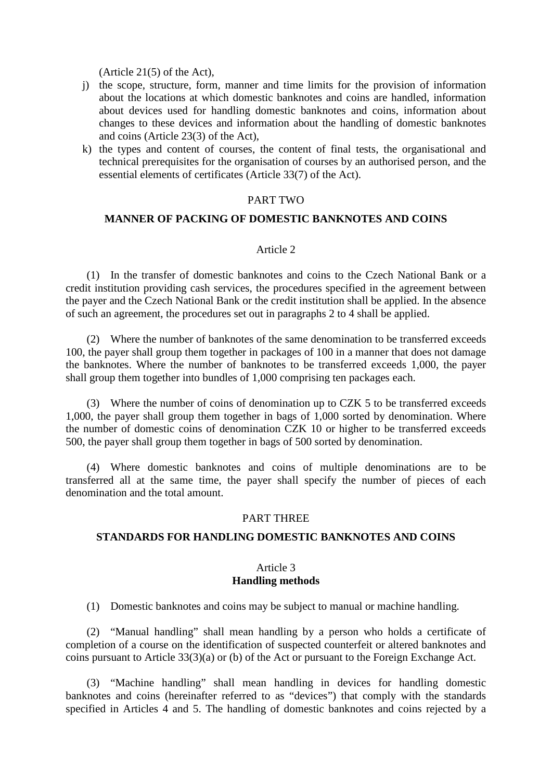(Article 21(5) of the Act),

- j) the scope, structure, form, manner and time limits for the provision of information about the locations at which domestic banknotes and coins are handled, information about devices used for handling domestic banknotes and coins, information about changes to these devices and information about the handling of domestic banknotes and coins (Article 23(3) of the Act),
- k) the types and content of courses, the content of final tests, the organisational and technical prerequisites for the organisation of courses by an authorised person, and the essential elements of certificates (Article 33(7) of the Act).

### PART TWO

#### **MANNER OF PACKING OF DOMESTIC BANKNOTES AND COINS**

#### Article 2

(1) In the transfer of domestic banknotes and coins to the Czech National Bank or a credit institution providing cash services, the procedures specified in the agreement between the payer and the Czech National Bank or the credit institution shall be applied. In the absence of such an agreement, the procedures set out in paragraphs 2 to 4 shall be applied.

(2) Where the number of banknotes of the same denomination to be transferred exceeds 100, the payer shall group them together in packages of 100 in a manner that does not damage the banknotes. Where the number of banknotes to be transferred exceeds 1,000, the payer shall group them together into bundles of 1,000 comprising ten packages each.

(3) Where the number of coins of denomination up to CZK 5 to be transferred exceeds 1,000, the payer shall group them together in bags of 1,000 sorted by denomination. Where the number of domestic coins of denomination CZK 10 or higher to be transferred exceeds 500, the payer shall group them together in bags of 500 sorted by denomination.

(4) Where domestic banknotes and coins of multiple denominations are to be transferred all at the same time, the payer shall specify the number of pieces of each denomination and the total amount.

#### PART THREE

#### **STANDARDS FOR HANDLING DOMESTIC BANKNOTES AND COINS**

#### Article 3 **Handling methods**

(1) Domestic banknotes and coins may be subject to manual or machine handling.

(2) "Manual handling" shall mean handling by a person who holds a certificate of completion of a course on the identification of suspected counterfeit or altered banknotes and coins pursuant to [Article 33\(3\)\(a\) or \(b\) of the Act](aspi://module=) or pursuant to the Foreign Exchange Act.

(3) "Machine handling" shall mean handling in devices for handling domestic banknotes and coins (hereinafter referred to as "devices") that comply with the standards specified in Articles 4 and 5. The handling of domestic banknotes and coins rejected by a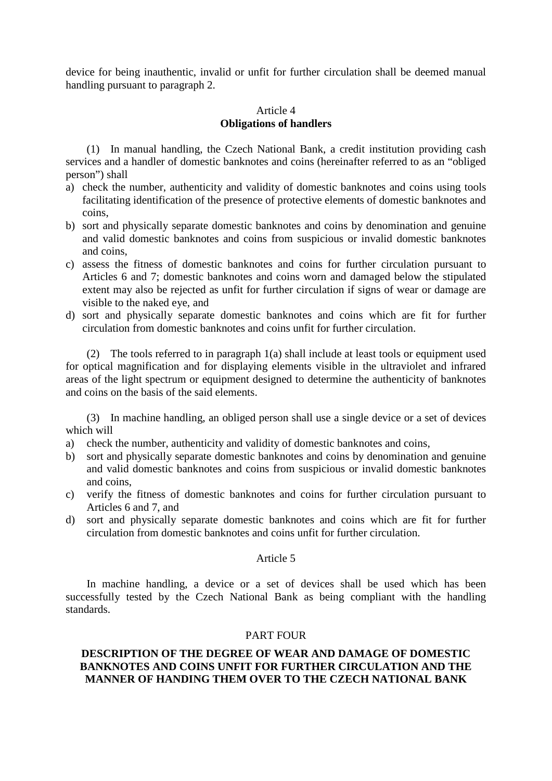device for being inauthentic, invalid or unfit for further circulation shall be deemed manual handling pursuant to paragraph 2.

### Article 4 **Obligations of handlers**

(1) In manual handling, the Czech National Bank, a credit institution providing cash services and a handler of domestic banknotes and coins (hereinafter referred to as an "obliged person") shall

- a) check the number, authenticity and validity of domestic banknotes and coins using tools facilitating identification of the presence of protective elements of domestic banknotes and coins,
- b) sort and physically separate domestic banknotes and coins by denomination and genuine and valid domestic banknotes and coins from suspicious or invalid domestic banknotes and coins,
- c) assess the fitness of domestic banknotes and coins for further circulation pursuant to Articles 6 and 7; domestic banknotes and coins worn and damaged below the stipulated extent may also be rejected as unfit for further circulation if signs of wear or damage are visible to the naked eye, and
- d) sort and physically separate domestic banknotes and coins which are fit for further circulation from domestic banknotes and coins unfit for further circulation.

(2) The tools referred to in paragraph 1(a) shall include at least tools or equipment used for optical magnification and for displaying elements visible in the ultraviolet and infrared areas of the light spectrum or equipment designed to determine the authenticity of banknotes and coins on the basis of the said elements.

(3) In machine handling, an obliged person shall use a single device or a set of devices which will

- a) check the number, authenticity and validity of domestic banknotes and coins,
- b) sort and physically separate domestic banknotes and coins by denomination and genuine and valid domestic banknotes and coins from suspicious or invalid domestic banknotes and coins,
- c) verify the fitness of domestic banknotes and coins for further circulation pursuant to Articles 6 and 7, and
- d) sort and physically separate domestic banknotes and coins which are fit for further circulation from domestic banknotes and coins unfit for further circulation.

#### Article 5

In machine handling, a device or a set of devices shall be used which has been successfully tested by the Czech National Bank as being compliant with the handling standards.

#### PART FOUR

#### **DESCRIPTION OF THE DEGREE OF WEAR AND DAMAGE OF DOMESTIC BANKNOTES AND COINS UNFIT FOR FURTHER CIRCULATION AND THE MANNER OF HANDING THEM OVER TO THE CZECH NATIONAL BANK**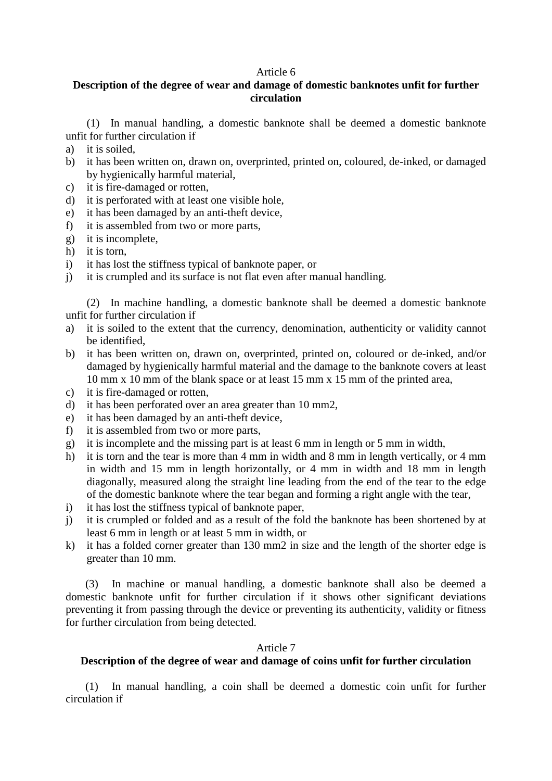#### Article 6

## **Description of the degree of wear and damage of domestic banknotes unfit for further circulation**

(1) In manual handling, a domestic banknote shall be deemed a domestic banknote unfit for further circulation if

- a) it is soiled,
- b) it has been written on, drawn on, overprinted, printed on, coloured, de-inked, or damaged by hygienically harmful material,
- c) it is fire-damaged or rotten,
- d) it is perforated with at least one visible hole,
- e) it has been damaged by an anti-theft device,
- f) it is assembled from two or more parts,
- g) it is incomplete,
- h) it is torn,<br>i) it has lost
- it has lost the stiffness typical of banknote paper, or
- j) it is crumpled and its surface is not flat even after manual handling.

(2) In machine handling, a domestic banknote shall be deemed a domestic banknote unfit for further circulation if

- a) it is soiled to the extent that the currency, denomination, authenticity or validity cannot be identified,
- b) it has been written on, drawn on, overprinted, printed on, coloured or de-inked, and/or damaged by hygienically harmful material and the damage to the banknote covers at least 10 mm x 10 mm of the blank space or at least 15 mm x 15 mm of the printed area,
- c) it is fire-damaged or rotten,
- d) it has been perforated over an area greater than 10 mm2,
- e) it has been damaged by an anti-theft device,
- f) it is assembled from two or more parts,
- g) it is incomplete and the missing part is at least 6 mm in length or 5 mm in width,
- h) it is torn and the tear is more than 4 mm in width and 8 mm in length vertically, or 4 mm in width and 15 mm in length horizontally, or 4 mm in width and 18 mm in length diagonally, measured along the straight line leading from the end of the tear to the edge of the domestic banknote where the tear began and forming a right angle with the tear,
- i) it has lost the stiffness typical of banknote paper,
- j) it is crumpled or folded and as a result of the fold the banknote has been shortened by at least 6 mm in length or at least 5 mm in width, or
- k) it has a folded corner greater than 130 mm2 in size and the length of the shorter edge is greater than 10 mm.

(3) In machine or manual handling, a domestic banknote shall also be deemed a domestic banknote unfit for further circulation if it shows other significant deviations preventing it from passing through the device or preventing its authenticity, validity or fitness for further circulation from being detected.

#### Article 7

#### **Description of the degree of wear and damage of coins unfit for further circulation**

(1) In manual handling, a coin shall be deemed a domestic coin unfit for further circulation if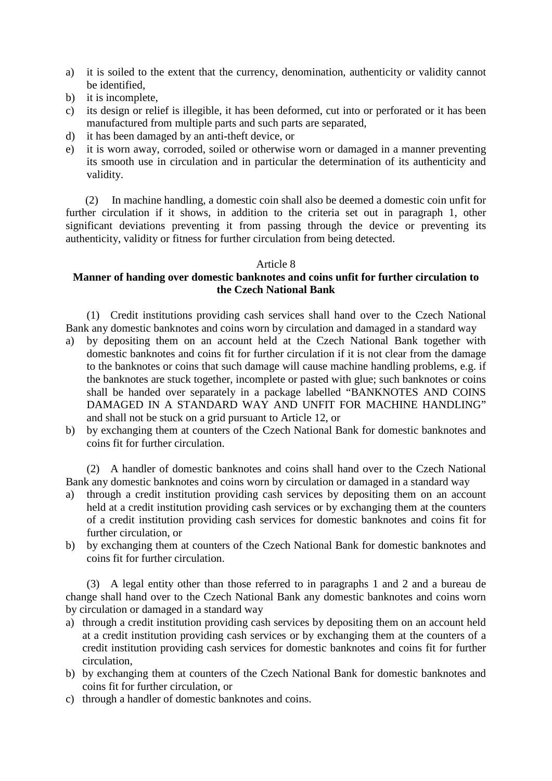- a) it is soiled to the extent that the currency, denomination, authenticity or validity cannot be identified,
- b) it is incomplete,
- c) its design or relief is illegible, it has been deformed, cut into or perforated or it has been manufactured from multiple parts and such parts are separated,
- d) it has been damaged by an anti-theft device, or
- e) it is worn away, corroded, soiled or otherwise worn or damaged in a manner preventing its smooth use in circulation and in particular the determination of its authenticity and validity.

(2) In machine handling, a domestic coin shall also be deemed a domestic coin unfit for further circulation if it shows, in addition to the criteria set out in paragraph 1, other significant deviations preventing it from passing through the device or preventing its authenticity, validity or fitness for further circulation from being detected.

#### Article 8

## **Manner of handing over domestic banknotes and coins unfit for further circulation to the Czech National Bank**

(1) Credit institutions providing cash services shall hand over to the Czech National Bank any domestic banknotes and coins worn by circulation and damaged in a standard way

- a) by depositing them on an account held at the Czech National Bank together with domestic banknotes and coins fit for further circulation if it is not clear from the damage to the banknotes or coins that such damage will cause machine handling problems, e.g. if the banknotes are stuck together, incomplete or pasted with glue; such banknotes or coins shall be handed over separately in a package labelled "BANKNOTES AND COINS DAMAGED IN A STANDARD WAY AND UNFIT FOR MACHINE HANDLING" and shall not be stuck on a grid pursuant to Article 12, or
- b) by exchanging them at counters of the Czech National Bank for domestic banknotes and coins fit for further circulation.

(2) A handler of domestic banknotes and coins shall hand over to the Czech National Bank any domestic banknotes and coins worn by circulation or damaged in a standard way

- a) through a credit institution providing cash services by depositing them on an account held at a credit institution providing cash services or by exchanging them at the counters of a credit institution providing cash services for domestic banknotes and coins fit for further circulation, or
- b) by exchanging them at counters of the Czech National Bank for domestic banknotes and coins fit for further circulation.

(3) A legal entity other than those referred to in paragraphs 1 and 2 and a bureau de change shall hand over to the Czech National Bank any domestic banknotes and coins worn by circulation or damaged in a standard way

- a) through a credit institution providing cash services by depositing them on an account held at a credit institution providing cash services or by exchanging them at the counters of a credit institution providing cash services for domestic banknotes and coins fit for further circulation,
- b) by exchanging them at counters of the Czech National Bank for domestic banknotes and coins fit for further circulation, or
- c) through a handler of domestic banknotes and coins.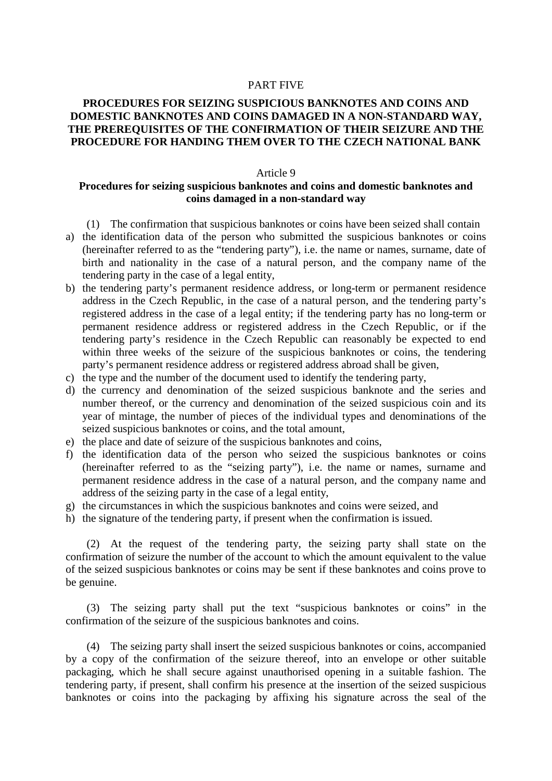#### PART FIVE

### **PROCEDURES FOR SEIZING SUSPICIOUS BANKNOTES AND COINS AND DOMESTIC BANKNOTES AND COINS DAMAGED IN A NON-STANDARD WAY, THE PREREQUISITES OF THE CONFIRMATION OF THEIR SEIZURE AND THE PROCEDURE FOR HANDING THEM OVER TO THE CZECH NATIONAL BANK**

#### Article 9

#### **Procedures for seizing suspicious banknotes and coins and domestic banknotes and coins damaged in a non-standard way**

- (1) The confirmation that suspicious banknotes or coins have been seized shall contain
- a) the identification data of the person who submitted the suspicious banknotes or coins (hereinafter referred to as the "tendering party"), i.e. the name or names, surname, date of birth and nationality in the case of a natural person, and the company name of the tendering party in the case of a legal entity,
- b) the tendering party's permanent residence address, or long-term or permanent residence address in the Czech Republic, in the case of a natural person, and the tendering party's registered address in the case of a legal entity; if the tendering party has no long-term or permanent residence address or registered address in the Czech Republic, or if the tendering party's residence in the Czech Republic can reasonably be expected to end within three weeks of the seizure of the suspicious banknotes or coins, the tendering party's permanent residence address or registered address abroad shall be given,
- c) the type and the number of the document used to identify the tendering party,
- d) the currency and denomination of the seized suspicious banknote and the series and number thereof, or the currency and denomination of the seized suspicious coin and its year of mintage, the number of pieces of the individual types and denominations of the seized suspicious banknotes or coins, and the total amount,
- e) the place and date of seizure of the suspicious banknotes and coins,
- f) the identification data of the person who seized the suspicious banknotes or coins (hereinafter referred to as the "seizing party"), i.e. the name or names, surname and permanent residence address in the case of a natural person, and the company name and address of the seizing party in the case of a legal entity,
- g) the circumstances in which the suspicious banknotes and coins were seized, and
- h) the signature of the tendering party, if present when the confirmation is issued.

(2) At the request of the tendering party, the seizing party shall state on the confirmation of seizure the number of the account to which the amount equivalent to the value of the seized suspicious banknotes or coins may be sent if these banknotes and coins prove to be genuine.

(3) The seizing party shall put the text "suspicious banknotes or coins" in the confirmation of the seizure of the suspicious banknotes and coins.

(4) The seizing party shall insert the seized suspicious banknotes or coins, accompanied by a copy of the confirmation of the seizure thereof, into an envelope or other suitable packaging, which he shall secure against unauthorised opening in a suitable fashion. The tendering party, if present, shall confirm his presence at the insertion of the seized suspicious banknotes or coins into the packaging by affixing his signature across the seal of the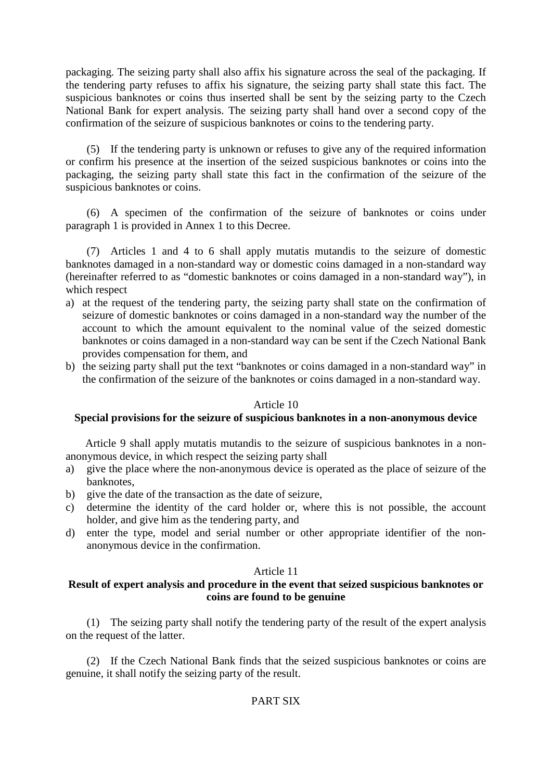packaging. The seizing party shall also affix his signature across the seal of the packaging. If the tendering party refuses to affix his signature, the seizing party shall state this fact. The suspicious banknotes or coins thus inserted shall be sent by the seizing party to the Czech National Bank for expert analysis. The seizing party shall hand over a second copy of the confirmation of the seizure of suspicious banknotes or coins to the tendering party.

(5) If the tendering party is unknown or refuses to give any of the required information or confirm his presence at the insertion of the seized suspicious banknotes or coins into the packaging, the seizing party shall state this fact in the confirmation of the seizure of the suspicious banknotes or coins.

(6) A specimen of the confirmation of the seizure of banknotes or coins under paragraph 1 is provided in Annex 1 to this Decree.

(7) Articles 1 and 4 to 6 shall apply mutatis mutandis to the seizure of domestic banknotes damaged in a non-standard way or domestic coins damaged in a non-standard way (hereinafter referred to as "domestic banknotes or coins damaged in a non-standard way"), in which respect

- a) at the request of the tendering party, the seizing party shall state on the confirmation of seizure of domestic banknotes or coins damaged in a non-standard way the number of the account to which the amount equivalent to the nominal value of the seized domestic banknotes or coins damaged in a non-standard way can be sent if the Czech National Bank provides compensation for them, and
- b) the seizing party shall put the text "banknotes or coins damaged in a non-standard way" in the confirmation of the seizure of the banknotes or coins damaged in a non-standard way.

#### Article 10

## **Special provisions for the seizure of suspicious banknotes in a non-anonymous device**

Article 9 shall apply mutatis mutandis to the seizure of suspicious banknotes in a nonanonymous device, in which respect the seizing party shall

- a) give the place where the non-anonymous device is operated as the place of seizure of the banknotes,
- b) give the date of the transaction as the date of seizure,
- c) determine the identity of the card holder or, where this is not possible, the account holder, and give him as the tendering party, and
- d) enter the type, model and serial number or other appropriate identifier of the nonanonymous device in the confirmation.

#### Article 11

## **Result of expert analysis and procedure in the event that seized suspicious banknotes or coins are found to be genuine**

(1) The seizing party shall notify the tendering party of the result of the expert analysis on the request of the latter.

(2) If the Czech National Bank finds that the seized suspicious banknotes or coins are genuine, it shall notify the seizing party of the result.

## PART SIX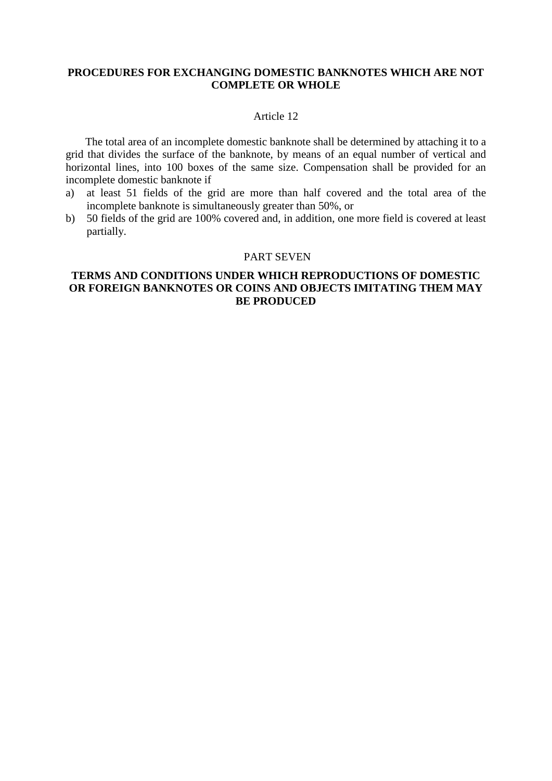### **PROCEDURES FOR EXCHANGING DOMESTIC BANKNOTES WHICH ARE NOT COMPLETE OR WHOLE**

#### Article 12

The total area of an incomplete domestic banknote shall be determined by attaching it to a grid that divides the surface of the banknote, by means of an equal number of vertical and horizontal lines, into 100 boxes of the same size. Compensation shall be provided for an incomplete domestic banknote if

- a) at least 51 fields of the grid are more than half covered and the total area of the incomplete banknote is simultaneously greater than 50%, or
- b) 50 fields of the grid are 100% covered and, in addition, one more field is covered at least partially.

#### PART SEVEN

### **TERMS AND CONDITIONS UNDER WHICH REPRODUCTIONS OF DOMESTIC OR FOREIGN BANKNOTES OR COINS AND OBJECTS IMITATING THEM MAY BE PRODUCED**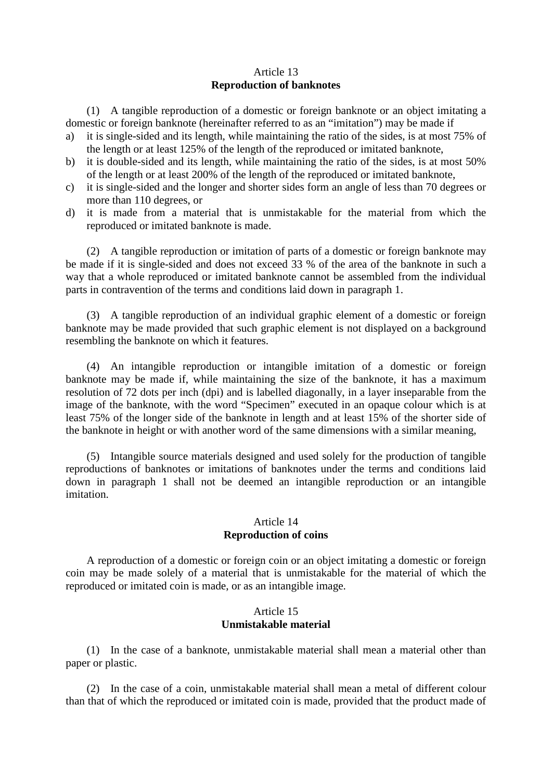#### Article 13 **Reproduction of banknotes**

(1) A tangible reproduction of a domestic or foreign banknote or an object imitating a domestic or foreign banknote (hereinafter referred to as an "imitation") may be made if

- a) it is single-sided and its length, while maintaining the ratio of the sides, is at most 75% of the length or at least 125% of the length of the reproduced or imitated banknote,
- b) it is double-sided and its length, while maintaining the ratio of the sides, is at most 50% of the length or at least 200% of the length of the reproduced or imitated banknote,
- c) it is single-sided and the longer and shorter sides form an angle of less than 70 degrees or more than 110 degrees, or
- d) it is made from a material that is unmistakable for the material from which the reproduced or imitated banknote is made.

(2) A tangible reproduction or imitation of parts of a domestic or foreign banknote may be made if it is single-sided and does not exceed 33 % of the area of the banknote in such a way that a whole reproduced or imitated banknote cannot be assembled from the individual parts in contravention of the terms and conditions laid down in paragraph 1.

(3) A tangible reproduction of an individual graphic element of a domestic or foreign banknote may be made provided that such graphic element is not displayed on a background resembling the banknote on which it features.

(4) An intangible reproduction or intangible imitation of a domestic or foreign banknote may be made if, while maintaining the size of the banknote, it has a maximum resolution of 72 dots per inch (dpi) and is labelled diagonally, in a layer inseparable from the image of the banknote, with the word "Specimen" executed in an opaque colour which is at least 75% of the longer side of the banknote in length and at least 15% of the shorter side of the banknote in height or with another word of the same dimensions with a similar meaning,

(5) Intangible source materials designed and used solely for the production of tangible reproductions of banknotes or imitations of banknotes under the terms and conditions laid down in paragraph 1 shall not be deemed an intangible reproduction or an intangible imitation.

#### Article 14 **Reproduction of coins**

A reproduction of a domestic or foreign coin or an object imitating a domestic or foreign coin may be made solely of a material that is unmistakable for the material of which the reproduced or imitated coin is made, or as an intangible image.

#### Article 15 **Unmistakable material**

(1) In the case of a banknote, unmistakable material shall mean a material other than paper or plastic.

(2) In the case of a coin, unmistakable material shall mean a metal of different colour than that of which the reproduced or imitated coin is made, provided that the product made of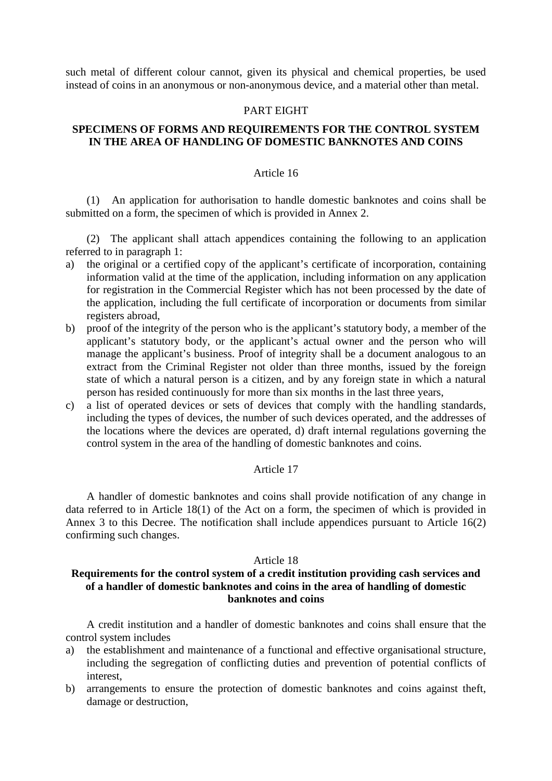such metal of different colour cannot, given its physical and chemical properties, be used instead of coins in an anonymous or non-anonymous device, and a material other than metal.

#### PART EIGHT

#### **SPECIMENS OF FORMS AND REQUIREMENTS FOR THE CONTROL SYSTEM IN THE AREA OF HANDLING OF DOMESTIC BANKNOTES AND COINS**

#### Article 16

(1) An application for authorisation to handle domestic banknotes and coins shall be submitted on a form, the specimen of which is provided in Annex 2.

(2) The applicant shall attach appendices containing the following to an application referred to in paragraph 1:

- a) the original or a certified copy of the applicant's certificate of incorporation, containing information valid at the time of the application, including information on any application for registration in the Commercial Register which has not been processed by the date of the application, including the full certificate of incorporation or documents from similar registers abroad,
- b) proof of the integrity of the person who is the applicant's statutory body, a member of the applicant's statutory body, or the applicant's actual owner and the person who will manage the applicant's business. Proof of integrity shall be a document analogous to an extract from the Criminal Register not older than three months, issued by the foreign state of which a natural person is a citizen, and by any foreign state in which a natural person has resided continuously for more than six months in the last three years,
- c) a list of operated devices or sets of devices that comply with the handling standards, including the types of devices, the number of such devices operated, and the addresses of the locations where the devices are operated, d) draft internal regulations governing the control system in the area of the handling of domestic banknotes and coins.

#### Article 17

A handler of domestic banknotes and coins shall provide notification of any change in data referred to in [Article 18\(1\) of the Act](aspi://module=) on a form, the specimen of which is provided in Annex 3 to this Decree. The notification shall include appendices pursuant to Article 16(2) confirming such changes.

#### Article 18

### **Requirements for the control system of a credit institution providing cash services and of a handler of domestic banknotes and coins in the area of handling of domestic banknotes and coins**

A credit institution and a handler of domestic banknotes and coins shall ensure that the control system includes

- a) the establishment and maintenance of a functional and effective organisational structure, including the segregation of conflicting duties and prevention of potential conflicts of interest,
- b) arrangements to ensure the protection of domestic banknotes and coins against theft, damage or destruction,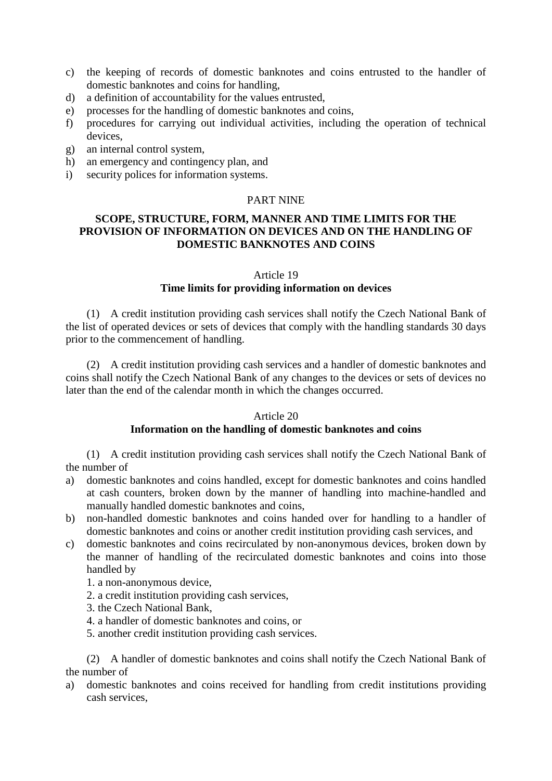- c) the keeping of records of domestic banknotes and coins entrusted to the handler of domestic banknotes and coins for handling,
- d) a definition of accountability for the values entrusted,
- e) processes for the handling of domestic banknotes and coins,
- f) procedures for carrying out individual activities, including the operation of technical devices,
- g) an internal control system,
- h) an emergency and contingency plan, and
- i) security polices for information systems.

### PART NINE

## **SCOPE, STRUCTURE, FORM, MANNER AND TIME LIMITS FOR THE PROVISION OF INFORMATION ON DEVICES AND ON THE HANDLING OF DOMESTIC BANKNOTES AND COINS**

#### Article 19

## **Time limits for providing information on devices**

(1) A credit institution providing cash services shall notify the Czech National Bank of the list of operated devices or sets of devices that comply with the handling standards 30 days prior to the commencement of handling.

(2) A credit institution providing cash services and a handler of domestic banknotes and coins shall notify the Czech National Bank of any changes to the devices or sets of devices no later than the end of the calendar month in which the changes occurred.

#### Article 20

#### **Information on the handling of domestic banknotes and coins**

(1) A credit institution providing cash services shall notify the Czech National Bank of the number of

- a) domestic banknotes and coins handled, except for domestic banknotes and coins handled at cash counters, broken down by the manner of handling into machine-handled and manually handled domestic banknotes and coins,
- b) non-handled domestic banknotes and coins handed over for handling to a handler of domestic banknotes and coins or another credit institution providing cash services, and
- c) domestic banknotes and coins recirculated by non-anonymous devices, broken down by the manner of handling of the recirculated domestic banknotes and coins into those handled by
	- 1. a non-anonymous device,
	- 2. a credit institution providing cash services,
	- 3. the Czech National Bank,
	- 4. a handler of domestic banknotes and coins, or
	- 5. another credit institution providing cash services.

(2) A handler of domestic banknotes and coins shall notify the Czech National Bank of the number of

a) domestic banknotes and coins received for handling from credit institutions providing cash services,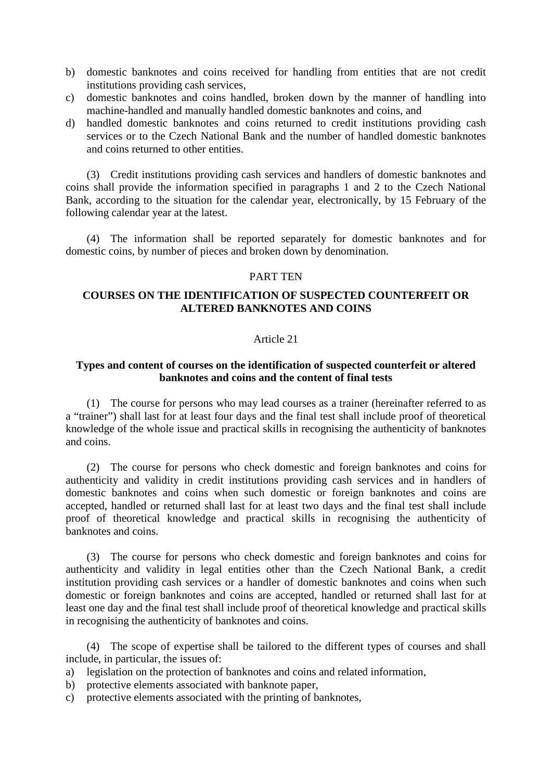- b) domestic banknotes and coins received for handling from entities that are not credit institutions providing cash services,
- c) domestic banknotes and coins handled, broken down by the manner of handling into machine-handled and manually handled domestic banknotes and coins, and
- d) handled domestic banknotes and coins returned to credit institutions providing cash services or to the Czech National Bank and the number of handled domestic banknotes and coins returned to other entities.

(3) Credit institutions providing cash services and handlers of domestic banknotes and coins shall provide the information specified in paragraphs 1 and 2 to the Czech National Bank, according to the situation for the calendar year, electronically, by 15 February of the following calendar year at the latest.

(4) The information shall be reported separately for domestic banknotes and for domestic coins, by number of pieces and broken down by denomination.

#### PART TEN

### **COURSES ON THE IDENTIFICATION OF SUSPECTED COUNTERFEIT OR ALTERED BANKNOTES AND COINS**

#### Article 21

#### **Types and content of courses on the identification of suspected counterfeit or altered banknotes and coins and the content of final tests**

(1) The course for persons who may lead courses as a trainer (hereinafter referred to as a "trainer") shall last for at least four days and the final test shall include proof of theoretical knowledge of the whole issue and practical skills in recognising the authenticity of banknotes and coins.

(2) The course for persons who check domestic and foreign banknotes and coins for authenticity and validity in credit institutions providing cash services and in handlers of domestic banknotes and coins when such domestic or foreign banknotes and coins are accepted, handled or returned shall last for at least two days and the final test shall include proof of theoretical knowledge and practical skills in recognising the authenticity of banknotes and coins.

(3) The course for persons who check domestic and foreign banknotes and coins for authenticity and validity in legal entities other than the Czech National Bank, a credit institution providing cash services or a handler of domestic banknotes and coins when such domestic or foreign banknotes and coins are accepted, handled or returned shall last for at least one day and the final test shall include proof of theoretical knowledge and practical skills in recognising the authenticity of banknotes and coins.

(4) The scope of expertise shall be tailored to the different types of courses and shall include, in particular, the issues of:

- a) legislation on the protection of banknotes and coins and related information,
- b) protective elements associated with banknote paper,
- c) protective elements associated with the printing of banknotes,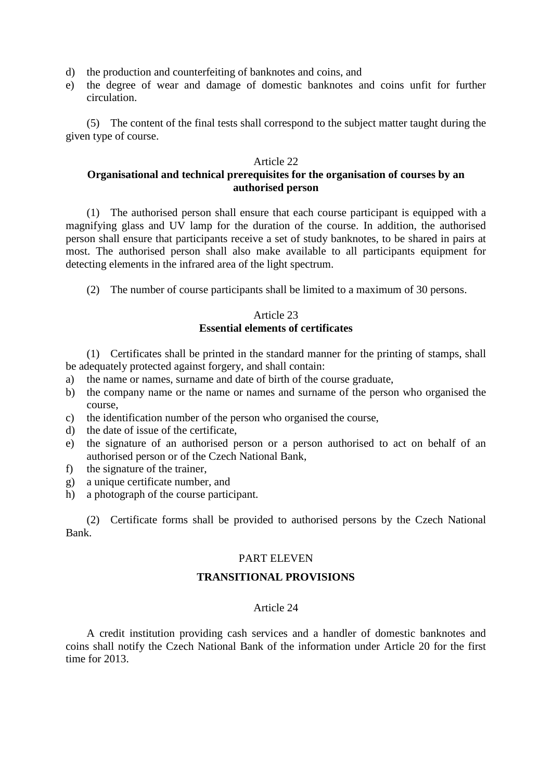- d) the production and counterfeiting of banknotes and coins, and
- e) the degree of wear and damage of domestic banknotes and coins unfit for further circulation.

(5) The content of the final tests shall correspond to the subject matter taught during the given type of course.

#### Article 22

## **Organisational and technical prerequisites for the organisation of courses by an authorised person**

(1) The authorised person shall ensure that each course participant is equipped with a magnifying glass and UV lamp for the duration of the course. In addition, the authorised person shall ensure that participants receive a set of study banknotes, to be shared in pairs at most. The authorised person shall also make available to all participants equipment for detecting elements in the infrared area of the light spectrum.

(2) The number of course participants shall be limited to a maximum of 30 persons.

#### Article 23 **Essential elements of certificates**

(1) Certificates shall be printed in the standard manner for the printing of stamps, shall be adequately protected against forgery, and shall contain:

- a) the name or names, surname and date of birth of the course graduate,
- b) the company name or the name or names and surname of the person who organised the course,
- c) the identification number of the person who organised the course,
- d) the date of issue of the certificate,
- e) the signature of an authorised person or a person authorised to act on behalf of an authorised person or of the Czech National Bank,
- f) the signature of the trainer,
- g) a unique certificate number, and
- h) a photograph of the course participant.

(2) Certificate forms shall be provided to authorised persons by the Czech National Bank.

#### PART ELEVEN

### **TRANSITIONAL PROVISIONS**

#### Article 24

A credit institution providing cash services and a handler of domestic banknotes and coins shall notify the Czech National Bank of the information under Article 20 for the first time for 2013.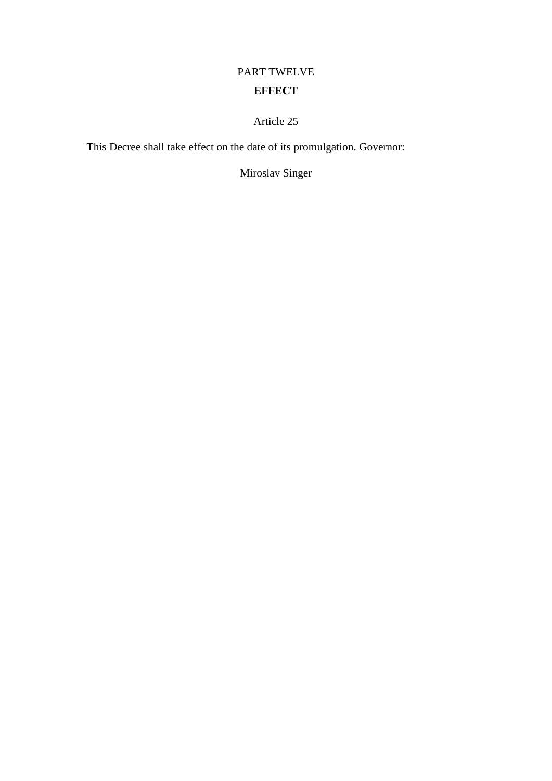# PART TWELVE **EFFECT**

Article 25

This Decree shall take effect on the date of its promulgation. Governor:

Miroslav Singer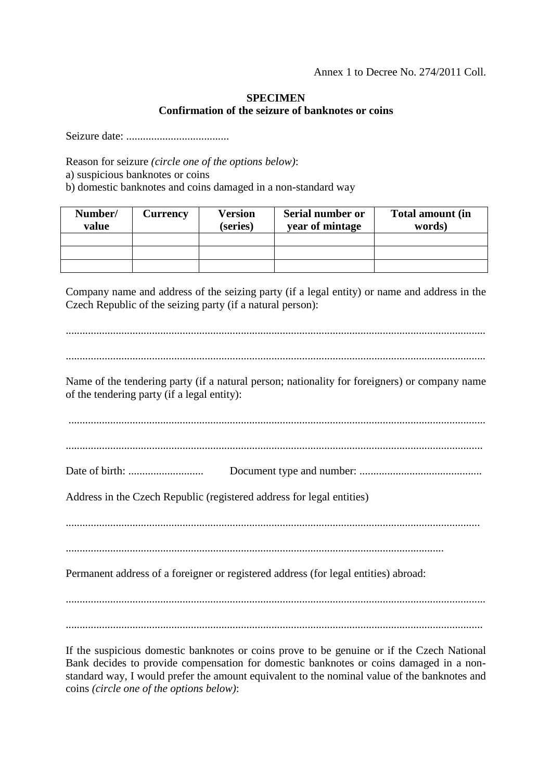## **SPECIMEN Confirmation of the seizure of banknotes or coins**

Seizure date: .....................................

Reason for seizure *(circle one of the options below)*: a) suspicious banknotes or coins

b) domestic banknotes and coins damaged in a non-standard way

| Number/<br>value | <b>Currency</b> | Version<br>(series) | Serial number or<br>year of mintage | <b>Total amount (in</b><br>words) |
|------------------|-----------------|---------------------|-------------------------------------|-----------------------------------|
|                  |                 |                     |                                     |                                   |
|                  |                 |                     |                                     |                                   |
|                  |                 |                     |                                     |                                   |

Company name and address of the seizing party (if a legal entity) or name and address in the Czech Republic of the seizing party (if a natural person):

....................................................................................................................................................... ....................................................................................................................................................... Name of the tendering party (if a natural person; nationality for foreigners) or company name of the tendering party (if a legal entity): ...................................................................................................................................................... ...................................................................................................................................................... Date of birth: ........................... Document type and number: ............................................ Address in the Czech Republic (registered address for legal entities) ..................................................................................................................................................... ........................................................................................................................................ Permanent address of a foreigner or registered address (for legal entities) abroad: ......................................................................................................................................................

If the suspicious domestic banknotes or coins prove to be genuine or if the Czech National Bank decides to provide compensation for domestic banknotes or coins damaged in a nonstandard way, I would prefer the amount equivalent to the nominal value of the banknotes and coins *(circle one of the options below)*: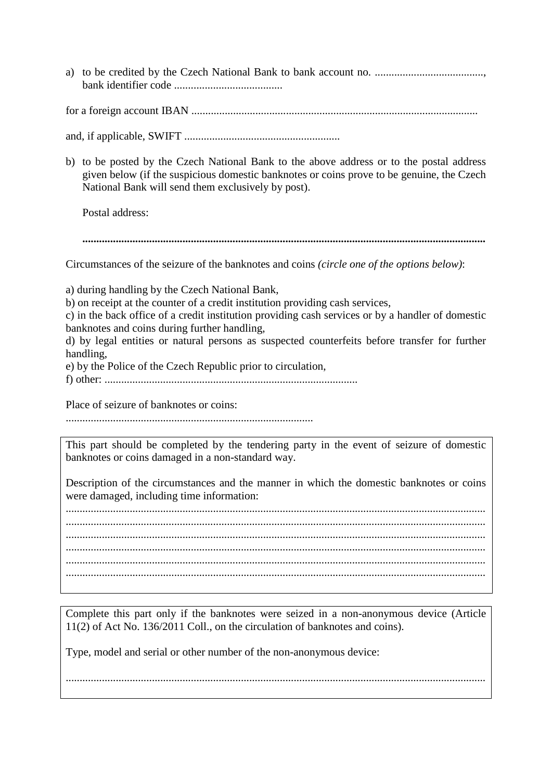for a foreign account IBAN .......................................................................................................

and, if applicable, SWIFT ........................................................

b) to be posted by the Czech National Bank to the above address or to the postal address given below (if the suspicious domestic banknotes or coins prove to be genuine, the Czech National Bank will send them exclusively by post).

Postal address:

**.................................................................................................................................................**

Circumstances of the seizure of the banknotes and coins *(circle one of the options below)*:

a) during handling by the Czech National Bank, b) on receipt at the counter of a credit institution providing cash services,

c) in the back office of a credit institution providing cash services or by a handler of domestic banknotes and coins during further handling,

d) by legal entities or natural persons as suspected counterfeits before transfer for further handling,

e) by the Police of the Czech Republic prior to circulation,

f) other: ...........................................................................................

Place of seizure of banknotes or coins:

.........................................................................................

This part should be completed by the tendering party in the event of seizure of domestic banknotes or coins damaged in a non-standard way.

Description of the circumstances and the manner in which the domestic banknotes or coins were damaged, including time information:

....................................................................................................................................................... ....................................................................................................................................................... ....................................................................................................................................................... ....................................................................................................................................................... .......................................................................................................................................................

Complete this part only if the banknotes were seized in a non-anonymous device (Article 11(2) of Act No. 136/2011 Coll., on the circulation of banknotes and coins).

.......................................................................................................................................................

Type, model and serial or other number of the non-anonymous device: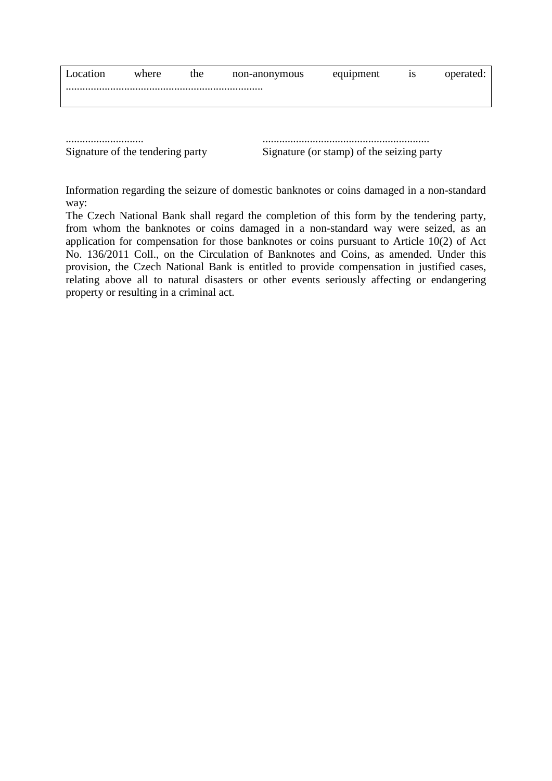| Location                         | where | the | non-anonymous | equipment                                 | 1S | operated: |  |
|----------------------------------|-------|-----|---------------|-------------------------------------------|----|-----------|--|
|                                  |       |     |               |                                           |    |           |  |
|                                  |       |     |               |                                           |    |           |  |
|                                  |       |     |               |                                           |    |           |  |
|                                  |       |     |               |                                           |    |           |  |
| Signature of the tendering party |       |     |               | Signature (or stamp) of the seizing party |    |           |  |

Information regarding the seizure of domestic banknotes or coins damaged in a non-standard way:

The Czech National Bank shall regard the completion of this form by the tendering party, from whom the banknotes or coins damaged in a non-standard way were seized, as an application for compensation for those banknotes or coins pursuant to Article 10(2) of Act No. 136/2011 Coll., on the Circulation of Banknotes and Coins, as amended. Under this provision, the Czech National Bank is entitled to provide compensation in justified cases, relating above all to natural disasters or other events seriously affecting or endangering property or resulting in a criminal act.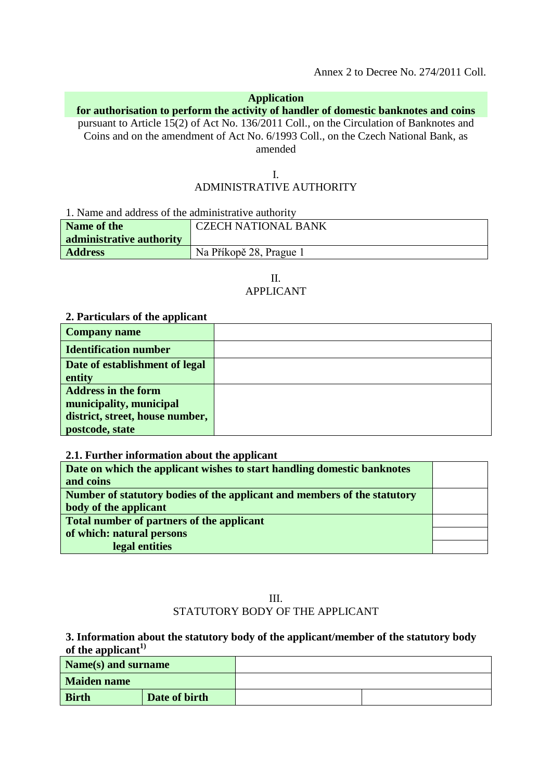Annex 2 to Decree No. 274/2011 Coll.

## **Application**

## **for authorisation to perform the activity of handler of domestic banknotes and coins**

pursuant to Article 15(2) of Act No. 136/2011 Coll., on the Circulation of Banknotes and Coins and on the amendment of Act No. 6/1993 Coll., on the Czech National Bank, as amended

## I. ADMINISTRATIVE AUTHORITY

1. Name and address of the administrative authority

| Name of the<br>administrative authority | <b>CZECH NATIONAL BANK</b> |
|-----------------------------------------|----------------------------|
| <b>Address</b>                          | Na Příkopě 28, Prague 1    |

### II. APPLICANT

#### **2. Particulars of the applicant**

| <b>Company name</b>             |  |
|---------------------------------|--|
| <b>Identification number</b>    |  |
| Date of establishment of legal  |  |
| entity                          |  |
| <b>Address in the form</b>      |  |
| municipality, municipal         |  |
| district, street, house number, |  |
| postcode, state                 |  |

#### **2.1. Further information about the applicant**

| Date on which the applicant wishes to start handling domestic banknotes  |  |
|--------------------------------------------------------------------------|--|
| and coins                                                                |  |
| Number of statutory bodies of the applicant and members of the statutory |  |
| body of the applicant                                                    |  |
| Total number of partners of the applicant                                |  |
| of which: natural persons                                                |  |
| legal entities                                                           |  |

## III. STATUTORY BODY OF THE APPLICANT

#### **3. Information about the statutory body of the applicant/member of the statutory body**  of the applicant<sup>1)</sup>

| Name(s) and surname |               |  |
|---------------------|---------------|--|
| <b>Maiden name</b>  |               |  |
| <b>Birth</b>        | Date of birth |  |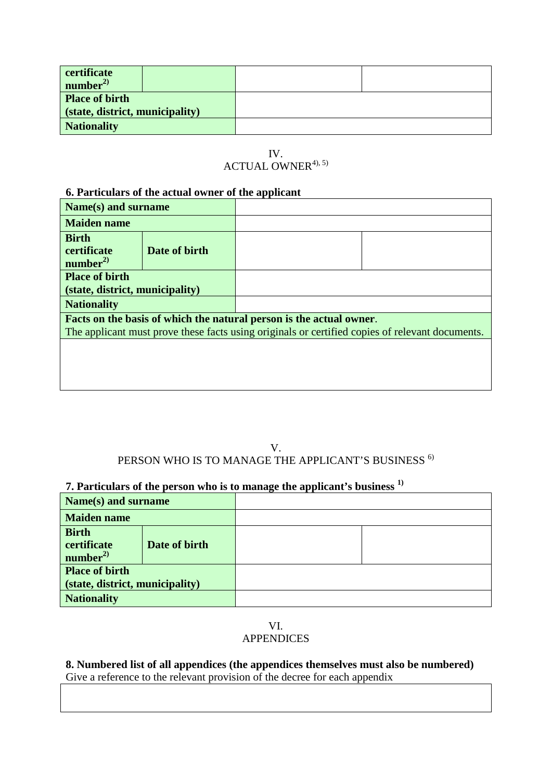| certificate<br>number <sup>2</sup>                       |  |
|----------------------------------------------------------|--|
| <b>Place of birth</b><br>(state, district, municipality) |  |
| <b>Nationality</b>                                       |  |

IV.  $ACTUAL$  OWNER<sup>4), 5)</sup>

## **6. Particulars of the actual owner of the applicant**

| Name(s) and surname                                                                             |               |                                                                     |  |
|-------------------------------------------------------------------------------------------------|---------------|---------------------------------------------------------------------|--|
| <b>Maiden name</b>                                                                              |               |                                                                     |  |
| <b>Birth</b><br><b>certificate</b><br>number <sup>2</sup>                                       | Date of birth |                                                                     |  |
| <b>Place of birth</b>                                                                           |               |                                                                     |  |
| (state, district, municipality)                                                                 |               |                                                                     |  |
| <b>Nationality</b>                                                                              |               |                                                                     |  |
|                                                                                                 |               | Facts on the basis of which the natural person is the actual owner. |  |
| The applicant must prove these facts using originals or certified copies of relevant documents. |               |                                                                     |  |
|                                                                                                 |               |                                                                     |  |
|                                                                                                 |               |                                                                     |  |

## V. PERSON WHO IS TO MANAGE THE APPLICANT'S BUSINESS  $^{6)}$

## **7. Particulars of the person who is to manage the applicant's business 1)**

| Name(s) and surname                                      |               |  |
|----------------------------------------------------------|---------------|--|
| <b>Maiden name</b>                                       |               |  |
| <b>Birth</b><br>certificate<br>number <sup>2</sup>       | Date of birth |  |
| <b>Place of birth</b><br>(state, district, municipality) |               |  |
| <b>Nationality</b>                                       |               |  |

### VI. APPENDICES

**8. Numbered list of all appendices (the appendices themselves must also be numbered)**  Give a reference to the relevant provision of the decree for each appendix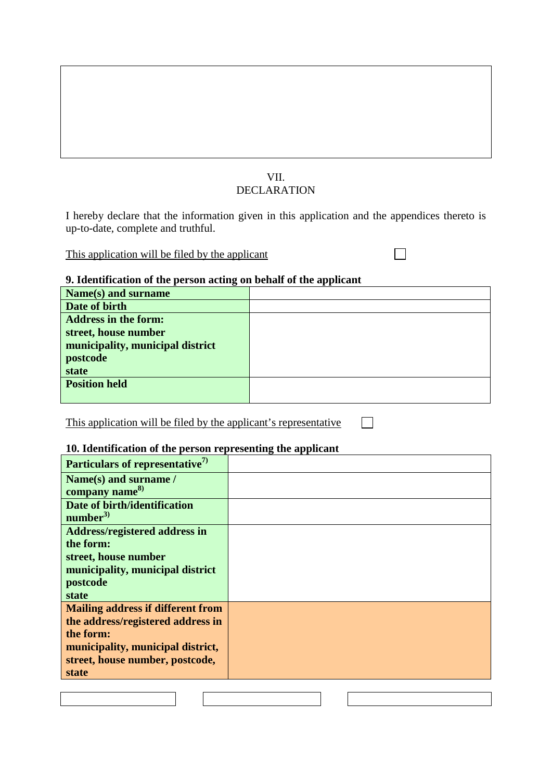## VII. DECLARATION

I hereby declare that the information given in this application and the appendices thereto is up-to-date, complete and truthful.

This application will be filed by the applicant

 $\Box$ 

## **9. Identification of the person acting on behalf of the applicant**

| Name(s) and surname              |  |
|----------------------------------|--|
| Date of birth                    |  |
| <b>Address in the form:</b>      |  |
| street, house number             |  |
| municipality, municipal district |  |
| postcode                         |  |
| <b>state</b>                     |  |
| <b>Position held</b>             |  |
|                                  |  |

This application will be filed by the applicant's representative

## **10. Identification of the person representing the applicant**

| Particulars of representative <sup>7)</sup> |  |
|---------------------------------------------|--|
| Name(s) and surname /                       |  |
| company name <sup>8)</sup>                  |  |
| Date of birth/identification                |  |
| number $^{3)}$                              |  |
| <b>Address/registered address in</b>        |  |
| the form:                                   |  |
| street, house number                        |  |
| municipality, municipal district            |  |
| postcode                                    |  |
| state                                       |  |
| <b>Mailing address if different from</b>    |  |
| the address/registered address in           |  |
| the form:                                   |  |
| municipality, municipal district,           |  |
| street, house number, postcode,             |  |
| state                                       |  |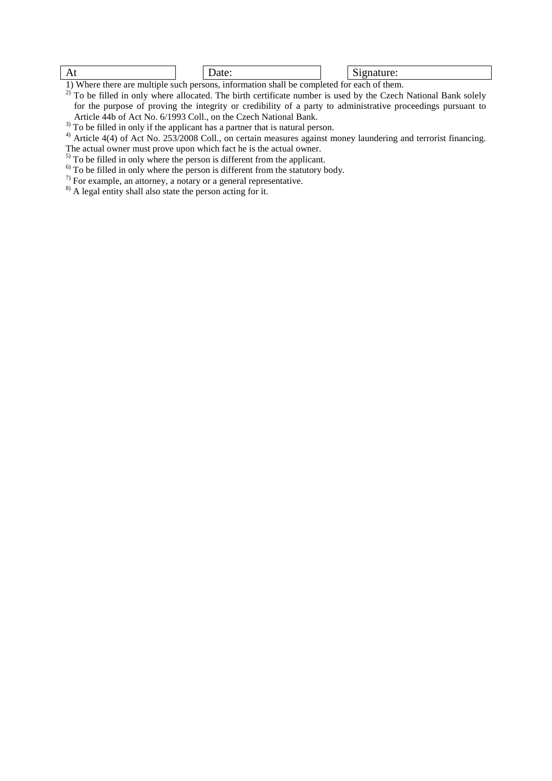#### At  $|\hspace{.1cm}|$  Date:  $|\hspace{.1cm}|$  Signature:

1) Where there are multiple such persons, information shall be completed for each of them.

 $^{2)}$  To be filled in only where allocated. The birth certificate number is used by the Czech National Bank solely for the purpose of proving the integrity or credibility of a party to administrative proceedings pursuant to Article 44b of Act No. 6/1993 Coll., on the Czech National Bank.

 $3\overline{)}$  To be filled in only if the applicant has a partner that is natural person.

 $^{4)}$  Article 4(4) of Act No. 253/2008 Coll., on certain measures against money laundering and terrorist financing.

The actual owner must prove upon which fact he is the actual owner.

<sup>5)</sup> To be filled in only where the person is different from the applicant.

 $\overrightarrow{6}$  To be filled in only where the person is different from the statutory body.

 $\frac{1}{\sqrt{2}}$  For example, an attorney, a notary or a general representative.

<sup>8)</sup> A legal entity shall also state the person acting for it.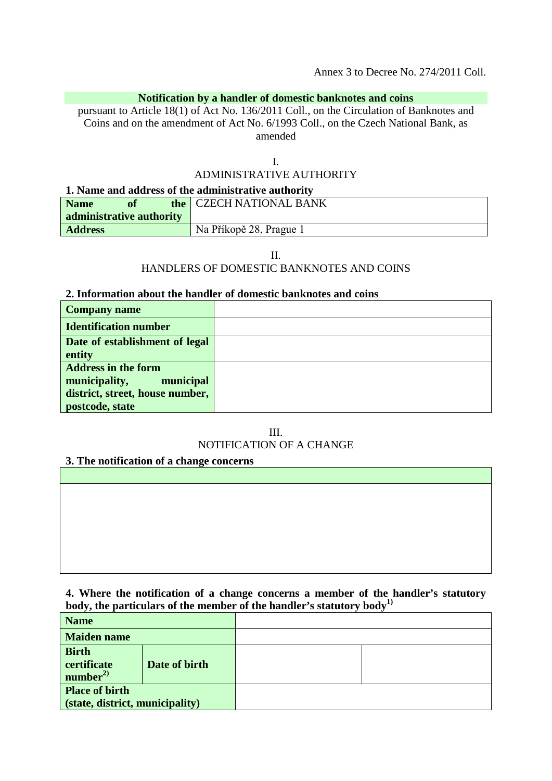### **Notification by a handler of domestic banknotes and coins**

pursuant to Article 18(1) of Act No. 136/2011 Coll., on the Circulation of Banknotes and Coins and on the amendment of Act No. 6/1993 Coll., on the Czech National Bank, as amended

I.

# ADMINISTRATIVE AUTHORITY

#### **1. Name and address of the administrative authority**

| <b>Name</b>    | of                       | the CZECH NATIONAL BANK |
|----------------|--------------------------|-------------------------|
|                | administrative authority |                         |
| <b>Address</b> |                          | Na Příkopě 28, Prague 1 |

II.

## HANDLERS OF DOMESTIC BANKNOTES AND COINS

#### **2. Information about the handler of domestic banknotes and coins**

| <b>Company name</b>             |  |
|---------------------------------|--|
| <b>Identification number</b>    |  |
| Date of establishment of legal  |  |
| entity                          |  |
| <b>Address in the form</b>      |  |
| municipality,<br>municipal      |  |
| district, street, house number, |  |
| postcode, state                 |  |

III. NOTIFICATION OF A CHANGE

## **3. The notification of a change concerns**

**4. Where the notification of a change concerns a member of the handler's statutory body, the particulars of the member of the handler's statutory body1)**

| <b>Name</b>                                              |               |  |
|----------------------------------------------------------|---------------|--|
| <b>Maiden name</b>                                       |               |  |
| <b>Birth</b><br>certificate<br>number <sup>2</sup>       | Date of birth |  |
| <b>Place of birth</b><br>(state, district, municipality) |               |  |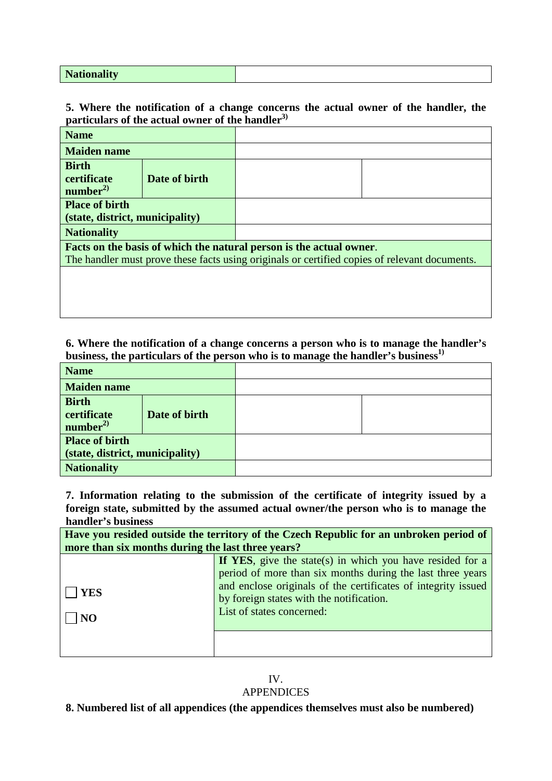**Nationality**

### **5. Where the notification of a change concerns the actual owner of the handler, the particulars of the actual owner of the handler3)**

| <b>Name</b>                                                                                   |               |  |  |
|-----------------------------------------------------------------------------------------------|---------------|--|--|
| <b>Maiden name</b>                                                                            |               |  |  |
| <b>Birth</b><br>certificate<br>number <sup>2</sup>                                            | Date of birth |  |  |
| <b>Place of birth</b><br>(state, district, municipality)                                      |               |  |  |
| <b>Nationality</b>                                                                            |               |  |  |
| Facts on the basis of which the natural person is the actual owner.                           |               |  |  |
| The handler must prove these facts using originals or certified copies of relevant documents. |               |  |  |
|                                                                                               |               |  |  |

### **6. Where the notification of a change concerns a person who is to manage the handler's**  business, the particulars of the person who is to manage the handler's business<sup>1)</sup>

| <b>Name</b>                                              |               |  |
|----------------------------------------------------------|---------------|--|
| <b>Maiden name</b>                                       |               |  |
| <b>Birth</b><br>certificate<br>number <sup>2</sup>       | Date of birth |  |
| <b>Place of birth</b><br>(state, district, municipality) |               |  |
| <b>Nationality</b>                                       |               |  |

**7. Information relating to the submission of the certificate of integrity issued by a foreign state, submitted by the assumed actual owner/the person who is to manage the handler's business**

| Have you resided outside the territory of the Czech Republic for an unbroken period of |                                                                                                                                                                                                                                                                   |  |  |
|----------------------------------------------------------------------------------------|-------------------------------------------------------------------------------------------------------------------------------------------------------------------------------------------------------------------------------------------------------------------|--|--|
| more than six months during the last three years?                                      |                                                                                                                                                                                                                                                                   |  |  |
| YES<br>NO                                                                              | If YES, give the state(s) in which you have resided for a<br>period of more than six months during the last three years<br>and enclose originals of the certificates of integrity issued<br>by foreign states with the notification.<br>List of states concerned: |  |  |
|                                                                                        |                                                                                                                                                                                                                                                                   |  |  |

## IV.

## APPENDICES

**8. Numbered list of all appendices (the appendices themselves must also be numbered)**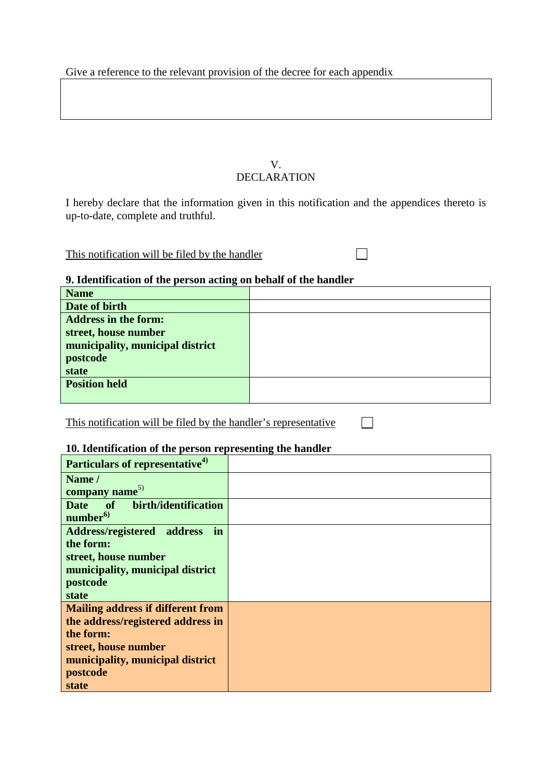Give a reference to the relevant provision of the decree for each appendix

### V. DECLARATION

I hereby declare that the information given in this notification and the appendices thereto is up-to-date, complete and truthful.

 $\Box$ 

 $\Box$ 

This notification will be filed by the handler

## **9. Identification of the person acting on behalf of the handler**

| <b>Name</b>                      |  |
|----------------------------------|--|
| Date of birth                    |  |
| <b>Address in the form:</b>      |  |
| street, house number             |  |
| municipality, municipal district |  |
| postcode                         |  |
| state                            |  |
| <b>Position held</b>             |  |
|                                  |  |

This notification will be filed by the handler's representative

#### **10. Identification of the person representing the handler**

| Particulars of representative <sup>4)</sup> |  |
|---------------------------------------------|--|
| Name /                                      |  |
| company name <sup>5)</sup>                  |  |
| of birth/identification<br><b>Date</b>      |  |
| number <sup>6)</sup>                        |  |
| in<br>Address/registered address            |  |
| the form:                                   |  |
| street, house number                        |  |
| municipality, municipal district            |  |
| postcode                                    |  |
| state                                       |  |
| <b>Mailing address if different from</b>    |  |
| the address/registered address in           |  |
| the form:                                   |  |
| street, house number                        |  |
| municipality, municipal district            |  |
| postcode                                    |  |
| state                                       |  |